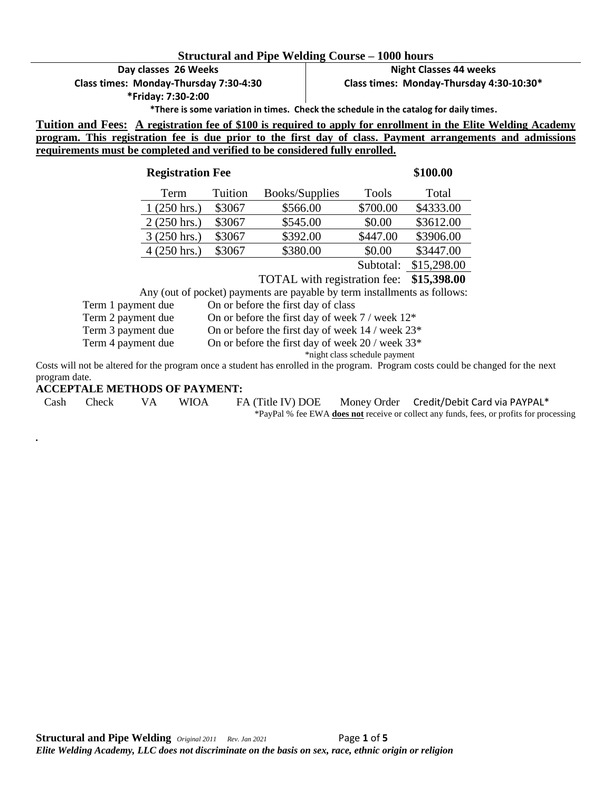#### **Structural and Pipe Welding Course – 1000 hours**

**Day classes 26 Weeks Class times: Monday-Thursday 7:30-4:30**

**\*Friday: 7:30-2:00**

**Night Classes 44 weeks Class times: Monday-Thursday 4:30-10:30\*** 

**\*There is some variation in times. Check the schedule in the catalog for daily times.**

**Tuition and Fees: A registration fee of \$100 is required to apply for enrollment in the Elite Welding Academy program. This registration fee is due prior to the first day of class. Payment arrangements and admissions requirements must be completed and verified to be considered fully enrolled.** 

| <b>Registration Fee</b> |         |                | \$100.00     |             |
|-------------------------|---------|----------------|--------------|-------------|
| Term                    | Tuition | Books/Supplies | <b>Tools</b> | Total       |
| $1(250 \text{ hrs.})$   | \$3067  | \$566.00       | \$700.00     | \$4333.00   |
| $2(250 \text{ hrs.})$   | \$3067  | \$545.00       | \$0.00       | \$3612.00   |
| $3(250 \text{ hrs.})$   | \$3067  | \$392.00       | \$447.00     | \$3906.00   |
| $4(250 \text{ hrs.})$   | \$3067  | \$380.00       | \$0.00       | \$3447.00   |
|                         |         |                | Subtotal:    | \$15,298.00 |

TOTAL with registration fee: **\$15,398.00**

Any (out of pocket) payments are payable by term installments as follows:

Term 1 payment due On or before the first day of class

Term 2 payment due On or before the first day of week 7 / week  $12^*$ 

Term 3 payment due On or before the first day of week 14 / week  $23^*$ 

Term 4 payment due On or before the first day of week 20 / week 33\*

\*night class schedule payment

Costs will not be altered for the program once a student has enrolled in the program. Program costs could be changed for the next program date.

#### **ACCEPTALE METHODS OF PAYMENT:**

*.* 

Cash Check VA WIOA FA (Title IV) DOE Money Order Credit/Debit Card via PAYPAL\*

\*PayPal % fee EWA **does not** receive or collect any funds, fees, or profits for processing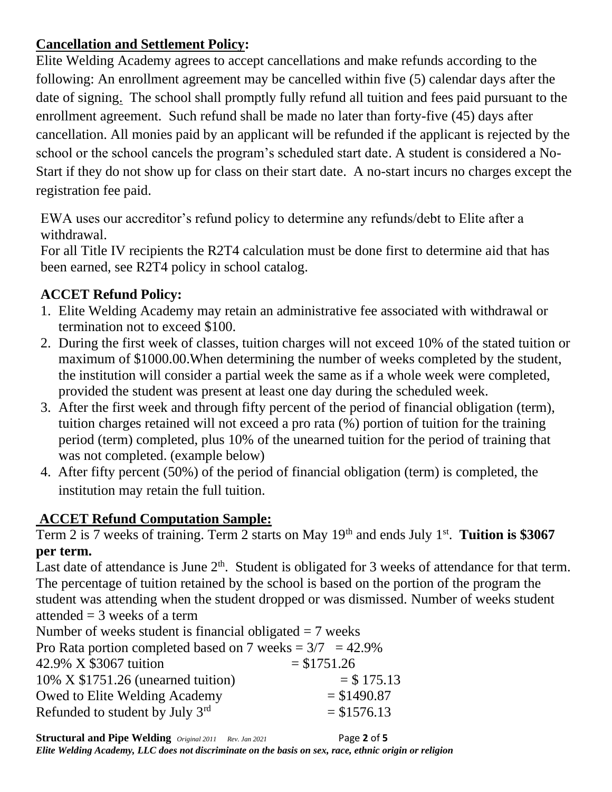## **Cancellation and Settlement Policy:**

Elite Welding Academy agrees to accept cancellations and make refunds according to the following: An enrollment agreement may be cancelled within five (5) calendar days after the date of signing. The school shall promptly fully refund all tuition and fees paid pursuant to the enrollment agreement. Such refund shall be made no later than forty-five (45) days after cancellation. All monies paid by an applicant will be refunded if the applicant is rejected by the school or the school cancels the program's scheduled start date. A student is considered a No-Start if they do not show up for class on their start date. A no-start incurs no charges except the registration fee paid.

EWA uses our accreditor's refund policy to determine any refunds/debt to Elite after a withdrawal.

For all Title IV recipients the R2T4 calculation must be done first to determine aid that has been earned, see R2T4 policy in school catalog.

# **ACCET Refund Policy:**

- 1. Elite Welding Academy may retain an administrative fee associated with withdrawal or termination not to exceed \$100.
- 2. During the first week of classes, tuition charges will not exceed 10% of the stated tuition or maximum of \$1000.00.When determining the number of weeks completed by the student, the institution will consider a partial week the same as if a whole week were completed, provided the student was present at least one day during the scheduled week.
- 3. After the first week and through fifty percent of the period of financial obligation (term), tuition charges retained will not exceed a pro rata (%) portion of tuition for the training period (term) completed, plus 10% of the unearned tuition for the period of training that was not completed. (example below)
- 4. After fifty percent (50%) of the period of financial obligation (term) is completed, the institution may retain the full tuition.

# **ACCET Refund Computation Sample:**

Term 2 is 7 weeks of training. Term 2 starts on May 19<sup>th</sup> and ends July 1<sup>st</sup>. Tuition is \$3067 **per term.**

Last date of attendance is June  $2<sup>th</sup>$ . Student is obligated for 3 weeks of attendance for that term. The percentage of tuition retained by the school is based on the portion of the program the student was attending when the student dropped or was dismissed. Number of weeks student attended  $=$  3 weeks of a term

Number of weeks student is financial obligated  $= 7$  weeks

| Pro Rata portion completed based on 7 weeks = $3/7$ = 42.9% |               |  |  |  |
|-------------------------------------------------------------|---------------|--|--|--|
| 42.9% X \$3067 tuition                                      | $= $1751.26$  |  |  |  |
| $10\%$ X \$1751.26 (unearned tuition)                       | $=$ \$ 175.13 |  |  |  |
| Owed to Elite Welding Academy                               | $= $1490.87$  |  |  |  |
| Refunded to student by July 3rd                             | $= $1576.13$  |  |  |  |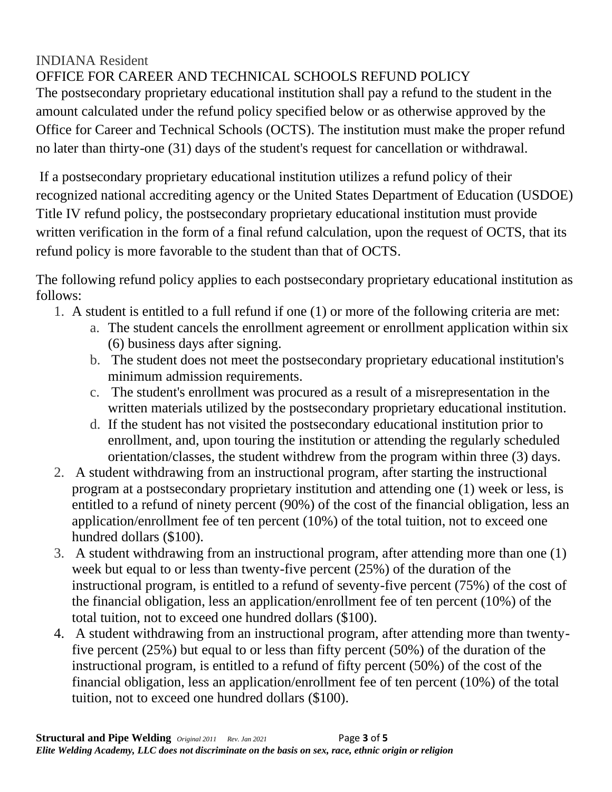### INDIANA Resident OFFICE FOR CAREER AND TECHNICAL SCHOOLS REFUND POLICY

The postsecondary proprietary educational institution shall pay a refund to the student in the amount calculated under the refund policy specified below or as otherwise approved by the Office for Career and Technical Schools (OCTS). The institution must make the proper refund no later than thirty-one (31) days of the student's request for cancellation or withdrawal.

If a postsecondary proprietary educational institution utilizes a refund policy of their recognized national accrediting agency or the United States Department of Education (USDOE) Title IV refund policy, the postsecondary proprietary educational institution must provide written verification in the form of a final refund calculation, upon the request of OCTS, that its refund policy is more favorable to the student than that of OCTS.

The following refund policy applies to each postsecondary proprietary educational institution as follows:

- 1. A student is entitled to a full refund if one (1) or more of the following criteria are met:
	- a. The student cancels the enrollment agreement or enrollment application within six (6) business days after signing.
	- b. The student does not meet the postsecondary proprietary educational institution's minimum admission requirements.
	- c. The student's enrollment was procured as a result of a misrepresentation in the written materials utilized by the postsecondary proprietary educational institution.
	- d. If the student has not visited the postsecondary educational institution prior to enrollment, and, upon touring the institution or attending the regularly scheduled orientation/classes, the student withdrew from the program within three (3) days.
- 2. A student withdrawing from an instructional program, after starting the instructional program at a postsecondary proprietary institution and attending one (1) week or less, is entitled to a refund of ninety percent (90%) of the cost of the financial obligation, less an application/enrollment fee of ten percent (10%) of the total tuition, not to exceed one hundred dollars (\$100).
- 3. A student withdrawing from an instructional program, after attending more than one (1) week but equal to or less than twenty-five percent (25%) of the duration of the instructional program, is entitled to a refund of seventy-five percent (75%) of the cost of the financial obligation, less an application/enrollment fee of ten percent (10%) of the total tuition, not to exceed one hundred dollars (\$100).
- 4. A student withdrawing from an instructional program, after attending more than twentyfive percent (25%) but equal to or less than fifty percent (50%) of the duration of the instructional program, is entitled to a refund of fifty percent (50%) of the cost of the financial obligation, less an application/enrollment fee of ten percent (10%) of the total tuition, not to exceed one hundred dollars (\$100).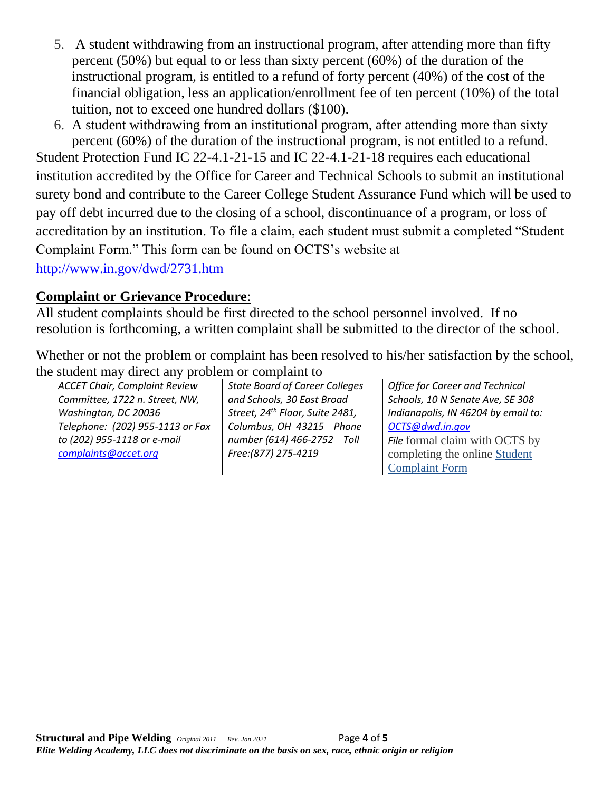- 5. A student withdrawing from an instructional program, after attending more than fifty percent (50%) but equal to or less than sixty percent (60%) of the duration of the instructional program, is entitled to a refund of forty percent (40%) of the cost of the financial obligation, less an application/enrollment fee of ten percent (10%) of the total tuition, not to exceed one hundred dollars (\$100).
- 6. A student withdrawing from an institutional program, after attending more than sixty percent (60%) of the duration of the instructional program, is not entitled to a refund.

Student Protection Fund IC 22-4.1-21-15 and IC 22-4.1-21-18 requires each educational institution accredited by the Office for Career and Technical Schools to submit an institutional surety bond and contribute to the Career College Student Assurance Fund which will be used to pay off debt incurred due to the closing of a school, discontinuance of a program, or loss of accreditation by an institution. To file a claim, each student must submit a completed "Student Complaint Form." This form can be found on OCTS's website at <http://www.in.gov/dwd/2731.htm>

### **Complaint or Grievance Procedure**:

All student complaints should be first directed to the school personnel involved. If no resolution is forthcoming, a written complaint shall be submitted to the director of the school.

Whether or not the problem or complaint has been resolved to his/her satisfaction by the school, the student may direct any problem or complaint to

*ACCET Chair, Complaint Review Committee, 1722 n. Street, NW, Washington, DC 20036 Telephone: (202) 955-1113 or Fax to (202) 955-1118 or e-mail [complaints@accet.org](mailto:complaints@accet.org)*

*State Board of Career Colleges and Schools, 30 East Broad Street, 24th Floor, Suite 2481, Columbus, OH 43215 Phone number (614) 466-2752 Toll Free:(877) 275-4219*

*Office for Career and Technical Schools, 10 N Senate Ave, SE 308 Indianapolis, IN 46204 by email to: [OCTS@dwd.in.gov](mailto:OCTS@dwd.in.gov) File* formal claim with OCTS by

completing the online [Student](https://www.in.gov/dwd/files/Student_Complaint_Form.pdf)  [Complaint Form](https://www.in.gov/dwd/files/Student_Complaint_Form.pdf)